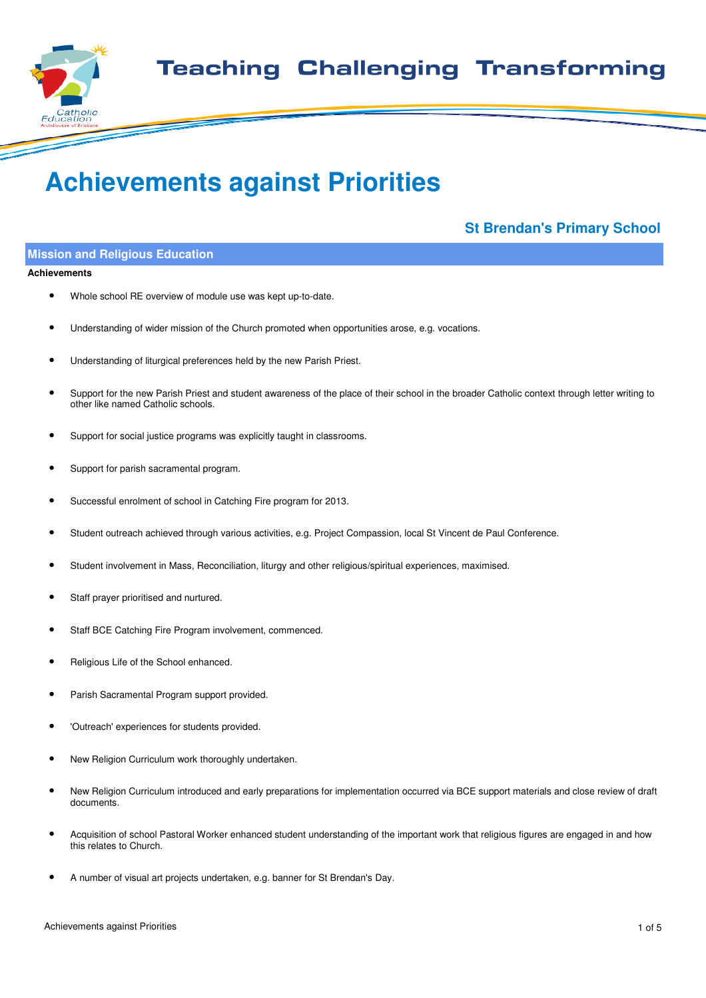

# **Achievements against Priorities**

# **St Brendan's Primary School**

# **Mission and Religious Education**

#### **Achievements**

- Whole school RE overview of module use was kept up-to-date.
- Understanding of wider mission of the Church promoted when opportunities arose, e.g. vocations.
- Understanding of liturgical preferences held by the new Parish Priest.
- Support for the new Parish Priest and student awareness of the place of their school in the broader Catholic context through letter writing to other like named Catholic schools.
- Support for social justice programs was explicitly taught in classrooms.
- Support for parish sacramental program.
- Successful enrolment of school in Catching Fire program for 2013.
- Student outreach achieved through various activities, e.g. Project Compassion, local St Vincent de Paul Conference.
- Student involvement in Mass, Reconciliation, liturgy and other religious/spiritual experiences, maximised.
- Staff prayer prioritised and nurtured.
- Staff BCE Catching Fire Program involvement, commenced.
- Religious Life of the School enhanced.
- Parish Sacramental Program support provided.
- 'Outreach' experiences for students provided.
- New Religion Curriculum work thoroughly undertaken.
- New Religion Curriculum introduced and early preparations for implementation occurred via BCE support materials and close review of draft documents.
- Acquisition of school Pastoral Worker enhanced student understanding of the important work that religious figures are engaged in and how this relates to Church.
- A number of visual art projects undertaken, e.g. banner for St Brendan's Day.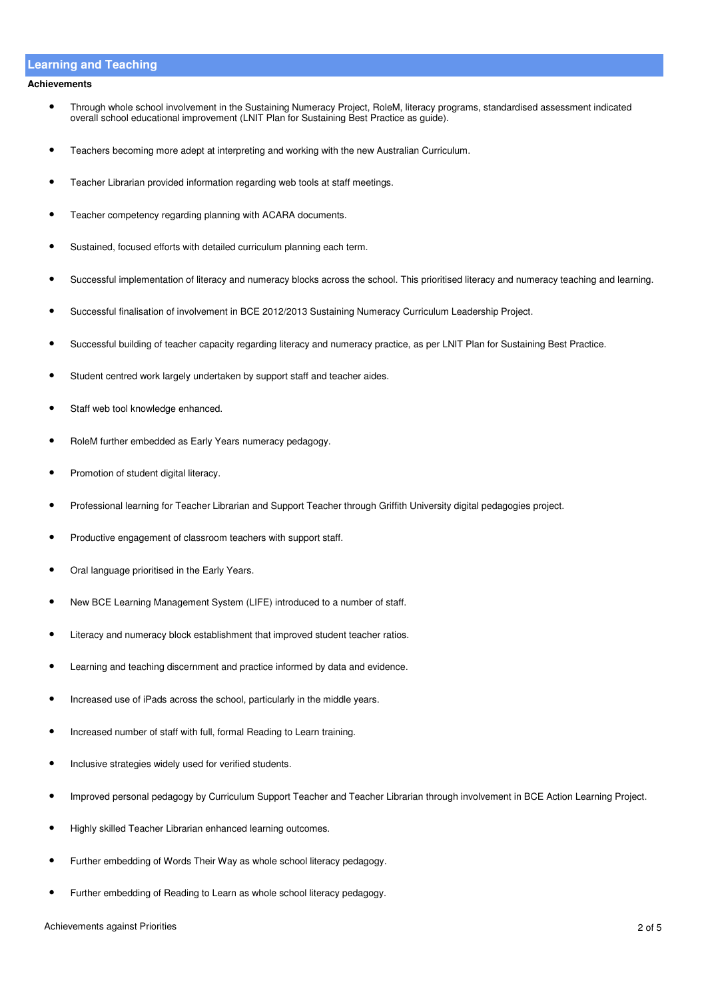## **Learning and Teaching**

#### **Achievements**

- Through whole school involvement in the Sustaining Numeracy Project, RoleM, literacy programs, standardised assessment indicated overall school educational improvement (LNIT Plan for Sustaining Best Practice as guide).
- Teachers becoming more adept at interpreting and working with the new Australian Curriculum.
- Teacher Librarian provided information regarding web tools at staff meetings.
- Teacher competency regarding planning with ACARA documents.
- Sustained, focused efforts with detailed curriculum planning each term.
- Successful implementation of literacy and numeracy blocks across the school. This prioritised literacy and numeracy teaching and learning.
- Successful finalisation of involvement in BCE 2012/2013 Sustaining Numeracy Curriculum Leadership Project.
- Successful building of teacher capacity regarding literacy and numeracy practice, as per LNIT Plan for Sustaining Best Practice.
- Student centred work largely undertaken by support staff and teacher aides.
- Staff web tool knowledge enhanced.
- RoleM further embedded as Early Years numeracy pedagogy.
- Promotion of student digital literacy.
- Professional learning for Teacher Librarian and Support Teacher through Griffith University digital pedagogies project.
- Productive engagement of classroom teachers with support staff.
- Oral language prioritised in the Early Years.
- New BCE Learning Management System (LIFE) introduced to a number of staff.
- Literacy and numeracy block establishment that improved student teacher ratios.
- Learning and teaching discernment and practice informed by data and evidence.
- Increased use of iPads across the school, particularly in the middle years.
- Increased number of staff with full, formal Reading to Learn training.
- Inclusive strategies widely used for verified students.
- Improved personal pedagogy by Curriculum Support Teacher and Teacher Librarian through involvement in BCE Action Learning Project.
- Highly skilled Teacher Librarian enhanced learning outcomes.
- Further embedding of Words Their Way as whole school literacy pedagogy.
- Further embedding of Reading to Learn as whole school literacy pedagogy.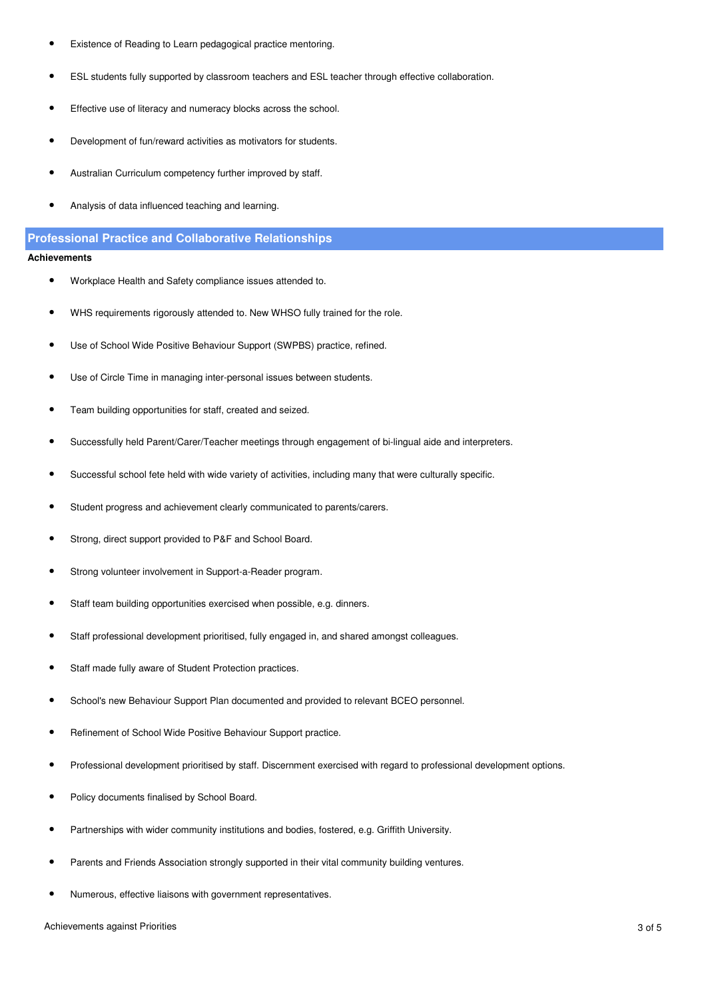- Existence of Reading to Learn pedagogical practice mentoring.
- ESL students fully supported by classroom teachers and ESL teacher through effective collaboration.
- Effective use of literacy and numeracy blocks across the school.
- Development of fun/reward activities as motivators for students.
- Australian Curriculum competency further improved by staff.
- Analysis of data influenced teaching and learning.

### **Professional Practice and Collaborative Relationships**

#### **Achievements**

- Workplace Health and Safety compliance issues attended to.
- WHS requirements rigorously attended to. New WHSO fully trained for the role.
- Use of School Wide Positive Behaviour Support (SWPBS) practice, refined.
- Use of Circle Time in managing inter-personal issues between students.
- Team building opportunities for staff, created and seized.
- Successfully held Parent/Carer/Teacher meetings through engagement of bi-lingual aide and interpreters.
- Successful school fete held with wide variety of activities, including many that were culturally specific.
- Student progress and achievement clearly communicated to parents/carers.
- Strong, direct support provided to P&F and School Board.
- Strong volunteer involvement in Support-a-Reader program.
- Staff team building opportunities exercised when possible, e.g. dinners.
- Staff professional development prioritised, fully engaged in, and shared amongst colleagues.
- Staff made fully aware of Student Protection practices.
- School's new Behaviour Support Plan documented and provided to relevant BCEO personnel.
- Refinement of School Wide Positive Behaviour Support practice.
- Professional development prioritised by staff. Discernment exercised with regard to professional development options.
- Policy documents finalised by School Board.
- Partnerships with wider community institutions and bodies, fostered, e.g. Griffith University.
- Parents and Friends Association strongly supported in their vital community building ventures.
- Numerous, effective liaisons with government representatives.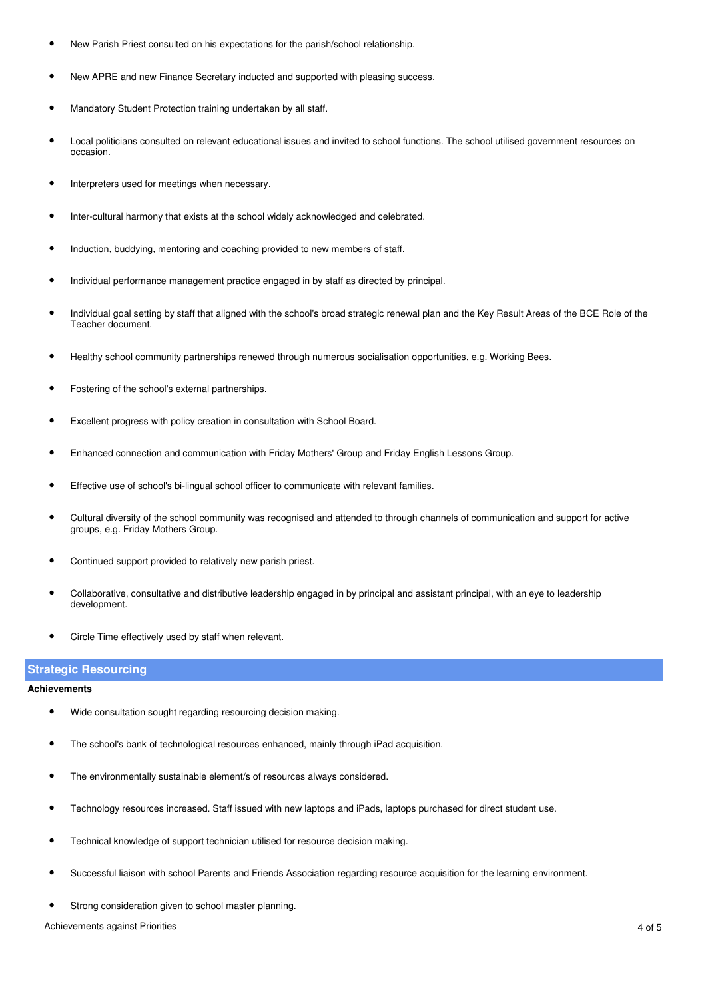- New Parish Priest consulted on his expectations for the parish/school relationship.
- New APRE and new Finance Secretary inducted and supported with pleasing success.
- Mandatory Student Protection training undertaken by all staff.
- Local politicians consulted on relevant educational issues and invited to school functions. The school utilised government resources on occasion.
- Interpreters used for meetings when necessary.
- Inter-cultural harmony that exists at the school widely acknowledged and celebrated.
- Induction, buddying, mentoring and coaching provided to new members of staff.
- Individual performance management practice engaged in by staff as directed by principal.
- Individual goal setting by staff that aligned with the school's broad strategic renewal plan and the Key Result Areas of the BCE Role of the Teacher document.
- Healthy school community partnerships renewed through numerous socialisation opportunities, e.g. Working Bees.
- Fostering of the school's external partnerships.
- Excellent progress with policy creation in consultation with School Board.
- Enhanced connection and communication with Friday Mothers' Group and Friday English Lessons Group.
- Effective use of school's bi-lingual school officer to communicate with relevant families.
- Cultural diversity of the school community was recognised and attended to through channels of communication and support for active groups, e.g. Friday Mothers Group.
- Continued support provided to relatively new parish priest.
- Collaborative, consultative and distributive leadership engaged in by principal and assistant principal, with an eye to leadership development.
- Circle Time effectively used by staff when relevant.

# **Strategic Resourcing**

#### **Achievements**

- Wide consultation sought regarding resourcing decision making.
- The school's bank of technological resources enhanced, mainly through iPad acquisition.
- The environmentally sustainable element/s of resources always considered.
- Technology resources increased. Staff issued with new laptops and iPads, laptops purchased for direct student use.
- Technical knowledge of support technician utilised for resource decision making.
- Successful liaison with school Parents and Friends Association regarding resource acquisition for the learning environment.
- Strong consideration given to school master planning.

Achievements against Priorities 4 of 5